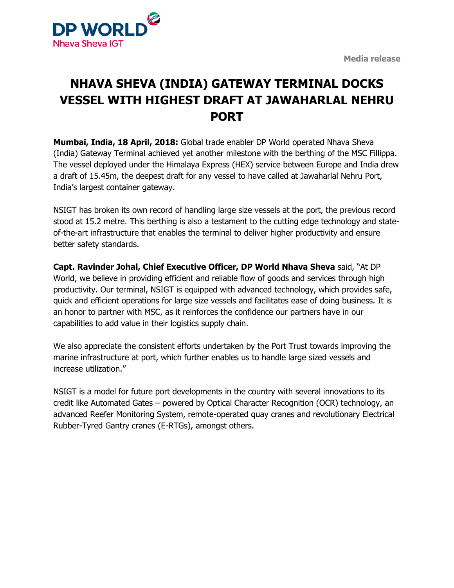**Media release**



## **NHAVA SHEVA (INDIA) GATEWAY TERMINAL DOCKS VESSEL WITH HIGHEST DRAFT AT JAWAHARLAL NEHRU PORT**

**Mumbai, India, 18 April, 2018:** Global trade enabler DP World operated Nhava Sheva (India) Gateway Terminal achieved yet another milestone with the berthing of the MSC Fillippa. The vessel deployed under the Himalaya Express (HEX) service between Europe and India drew a draft of 15.45m, the deepest draft for any vessel to have called at Jawaharlal Nehru Port, India's largest container gateway.

NSIGT has broken its own record of handling large size vessels at the port, the previous record stood at 15.2 metre. This berthing is also a testament to the cutting edge technology and stateof-the-art infrastructure that enables the terminal to deliver higher productivity and ensure better safety standards.

**Capt. Ravinder Johal, Chief Executive Officer, DP World Nhava Sheva** said, "At DP World, we believe in providing efficient and reliable flow of goods and services through high productivity. Our terminal, NSIGT is equipped with advanced technology, which provides safe, quick and efficient operations for large size vessels and facilitates ease of doing business. It is an honor to partner with MSC, as it reinforces the confidence our partners have in our capabilities to add value in their logistics supply chain.

We also appreciate the consistent efforts undertaken by the Port Trust towards improving the marine infrastructure at port, which further enables us to handle large sized vessels and increase utilization."

NSIGT is a model for future port developments in the country with several innovations to its credit like Automated Gates – powered by Optical Character Recognition (OCR) technology, an advanced Reefer Monitoring System, remote-operated quay cranes and revolutionary Electrical Rubber-Tyred Gantry cranes (E-RTGs), amongst others.